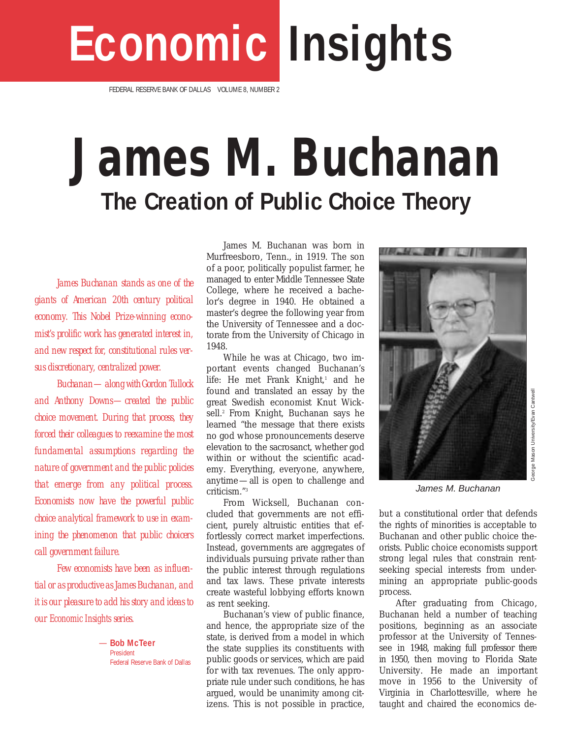# **Economic Insights**

FEDERAL RESERVE BANK OF DALLAS VOLUME 8, NUMBER 2

# **James M. Buchanan The Creation of Public Choice Theory**

*James Buchanan stands as one of the giants of American 20th century political economy. This Nobel Prize-winning economist's prolific work has generated interest in, and new respect for, constitutional rules versus discretionary, centralized power.*

*Buchanan—along with Gordon Tullock and Anthony Downs—created the public choice movement. During that process, they forced their colleagues to reexamine the most fundamental assumptions regarding the nature of government and the public policies that emerge from any political process. Economists now have the powerful public choice analytical framework to use in examining the phenomenon that public choicers call government failure.*

*Few economists have been as influential or as productive as James Buchanan, and it is our pleasure to add his story and ideas to our* Economic Insights *series.* 

> *—* **Bob McTeer** President Federal Reserve Bank of Dallas

James M. Buchanan was born in Murfreesboro, Tenn., in 1919. The son of a poor, politically populist farmer, he managed to enter Middle Tennessee State College, where he received a bachelor's degree in 1940. He obtained a master's degree the following year from the University of Tennessee and a doctorate from the University of Chicago in 1948.

While he was at Chicago, two important events changed Buchanan's life: He met Frank Knight,<sup>1</sup> and he found and translated an essay by the great Swedish economist Knut Wicksell.<sup>2</sup> From Knight, Buchanan says he learned "the message that there exists no god whose pronouncements deserve elevation to the sacrosanct, whether god within or without the scientific academy. Everything, everyone, anywhere, anytime—all is open to challenge and criticism."3

From Wicksell, Buchanan concluded that governments are not efficient, purely altruistic entities that effortlessly correct market imperfections. Instead, governments are aggregates of individuals pursuing private rather than the public interest through regulations and tax laws. These private interests create wasteful lobbying efforts known as rent seeking.

Buchanan's view of public finance, and hence, the appropriate size of the state, is derived from a model in which the state supplies its constituents with public goods or services, which are paid for with tax revenues. The only appropriate rule under such conditions, he has argued, would be unanimity among citizens. This is not possible in practice,



James M. Buchanan

George Mason University/Evan Cantwell

but a constitutional order that defends the rights of minorities is acceptable to Buchanan and other public choice theorists. Public choice economists support strong legal rules that constrain rentseeking special interests from undermining an appropriate public-goods process.

After graduating from Chicago, Buchanan held a number of teaching positions, beginning as an associate professor at the University of Tennessee in 1948, making full professor there in 1950, then moving to Florida State University. He made an important move in 1956 to the University of Virginia in Charlottesville, where he taught and chaired the economics de-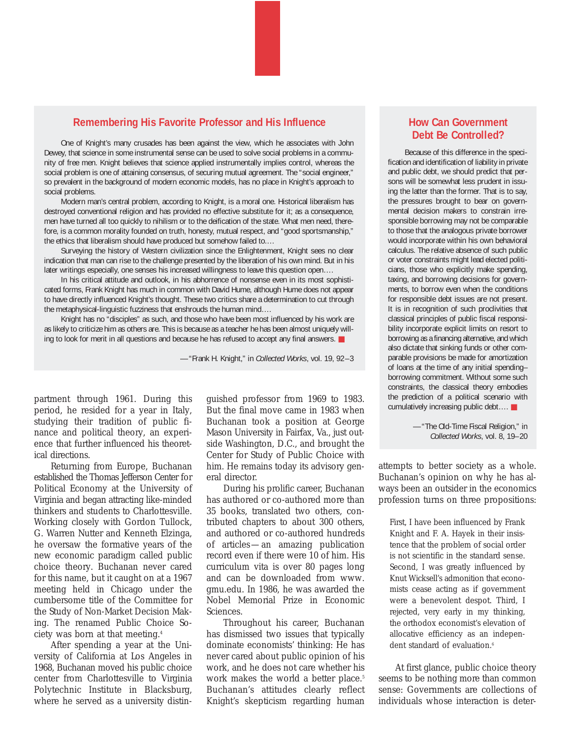#### **Remembering His Favorite Professor and His Influence**

One of Knight's many crusades has been against the view, which he associates with John Dewey, that science in some instrumental sense can be used to solve social problems in a community of free men. Knight believes that science applied instrumentally implies control, whereas the social problem is one of attaining consensus, of securing mutual agreement. The "social engineer," so prevalent in the background of modern economic models, has no place in Knight's approach to social problems.

Modern man's central problem, according to Knight, is a moral one. Historical liberalism has destroyed conventional religion and has provided no effective substitute for it; as a consequence, men have turned all too quickly to nihilism or to the deification of the state. What men need, therefore, is a common morality founded on truth, honesty, mutual respect, and "good sportsmanship," the ethics that liberalism should have produced but somehow failed to.…

Surveying the history of Western civilization since the Enlightenment, Knight sees no clear indication that man can rise to the challenge presented by the liberation of his own mind. But in his later writings especially, one senses his increased willingness to leave this question open….

In his critical attitude and outlook, in his abhorrence of nonsense even in its most sophisticated forms, Frank Knight has much in common with David Hume, although Hume does not appear to have directly influenced Knight's thought. These two critics share a determination to cut through the metaphysical-linguistic fuzziness that enshrouds the human mind….

Knight has no "disciples" as such, and those who have been most influenced by his work are as likely to criticize him as others are. This is because as a teacher he has been almost uniquely willing to look for merit in all questions and because he has refused to accept any final answers. ■

—"Frank H. Knight," in *Collected Works*, vol. 19, 92–3

partment through 1961. During this period, he resided for a year in Italy, studying their tradition of public finance and political theory, an experience that further influenced his theoretical directions.

Returning from Europe, Buchanan established the Thomas Jefferson Center for Political Economy at the University of Virginia and began attracting like-minded thinkers and students to Charlottesville. Working closely with Gordon Tullock, G. Warren Nutter and Kenneth Elzinga, he oversaw the formative years of the new economic paradigm called public choice theory. Buchanan never cared for this name, but it caught on at a 1967 meeting held in Chicago under the cumbersome title of the Committee for the Study of Non-Market Decision Making. The renamed Public Choice Society was born at that meeting.4

After spending a year at the University of California at Los Angeles in 1968, Buchanan moved his public choice center from Charlottesville to Virginia Polytechnic Institute in Blacksburg, where he served as a university distin-

guished professor from 1969 to 1983. But the final move came in 1983 when Buchanan took a position at George Mason University in Fairfax, Va., just outside Washington, D.C., and brought the Center for Study of Public Choice with him. He remains today its advisory general director.

During his prolific career, Buchanan has authored or co-authored more than 35 books, translated two others, contributed chapters to about 300 others, and authored or co-authored hundreds of articles—an amazing publication record even if there were 10 of him. His curriculum vita is over 80 pages long and can be downloaded from www. gmu.edu. In 1986, he was awarded the Nobel Memorial Prize in Economic Sciences.

Throughout his career, Buchanan has dismissed two issues that typically dominate economists' thinking: He has never cared about public opinion of his work, and he does not care whether his work makes the world a better place.<sup>5</sup> Buchanan's attitudes clearly reflect Knight's skepticism regarding human

## **How Can Government Debt Be Controlled?**

Because of this difference in the specification and identification of liability in private and public debt, we should predict that persons will be somewhat less prudent in issuing the latter than the former. That is to say, the pressures brought to bear on governmental decision makers to constrain irresponsible borrowing may not be comparable to those that the analogous private borrower would incorporate within his own behavioral calculus. The relative absence of such public or voter constraints might lead elected politicians, those who explicitly make spending, taxing, and borrowing decisions for governments, to borrow even when the conditions for responsible debt issues are not present. It is in recognition of such proclivities that classical principles of public fiscal responsibility incorporate explicit limits on resort to borrowing as a financing alternative, and which also dictate that sinking funds or other comparable provisions be made for amortization of loans at the time of any initial spending– borrowing commitment. Without some such constraints, the classical theory embodies the prediction of a political scenario with cumulatively increasing public debt…. ■

> —"The Old-Time Fiscal Religion," in *Collected Works*, vol. 8, 19–20

attempts to better society as a whole. Buchanan's opinion on why he has always been an outsider in the economics profession turns on three propositions:

First, I have been influenced by Frank Knight and F. A. Hayek in their insistence that the problem of social order is not scientific in the standard sense. Second, I was greatly influenced by Knut Wicksell's admonition that economists cease acting as if government were a benevolent despot. Third, I rejected, very early in my thinking, the orthodox economist's elevation of allocative efficiency as an independent standard of evaluation.<sup>6</sup>

At first glance, public choice theory seems to be nothing more than common sense: Governments are collections of individuals whose interaction is deter-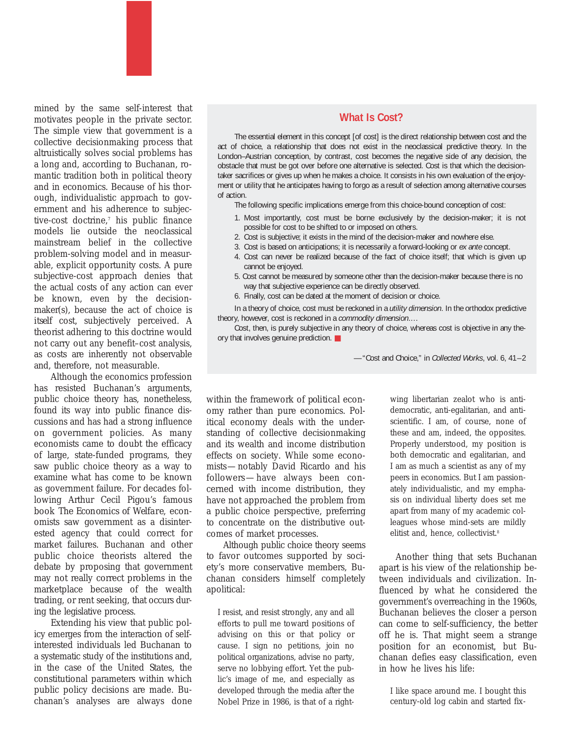mined by the same self-interest that motivates people in the private sector. The simple view that government is a collective decisionmaking process that altruistically solves social problems has a long and, according to Buchanan, romantic tradition both in political theory and in economics. Because of his thorough, individualistic approach to government and his adherence to subjective-cost doctrine,7 his public finance models lie outside the neoclassical mainstream belief in the collective problem-solving model and in measurable, explicit opportunity costs. A pure subjective-cost approach denies that the actual costs of any action can ever be known, even by the decisionmaker(s), because the act of choice is *itself* cost, subjectively perceived. A theorist adhering to this doctrine would not carry out any benefit–cost analysis, as costs are inherently not observable and, therefore, not measurable.

Although the economics profession has resisted Buchanan's arguments, public choice theory has, nonetheless, found its way into public finance discussions and has had a strong influence on government policies. As many economists came to doubt the efficacy of large, state-funded programs, they saw public choice theory as a way to examine what has come to be known as government failure. For decades following Arthur Cecil Pigou's famous book *The Economics of Welfare*, economists saw government as a disinterested agency that could correct for market failures. Buchanan and other public choice theorists altered the debate by proposing that government may not really correct problems in the marketplace because of the wealth trading, or rent seeking, that occurs during the legislative process.

Extending his view that public policy emerges from the interaction of selfinterested individuals led Buchanan to a systematic study of the institutions and, in the case of the United States, the constitutional parameters within which public policy decisions are made. Buchanan's analyses are always done

### **What Is Cost?**

The essential element in this concept [of cost] is the direct relationship between cost and the act of choice, a relationship that does not exist in the neoclassical predictive theory. In the London–Austrian conception, by contrast, cost becomes the negative side of any decision, the obstacle that must be got over before one alternative is selected. Cost is that which the decisiontaker sacrifices or gives up when he makes a choice. It consists in his own evaluation of the enjoyment or utility that he anticipates having to forgo as a result of selection among alternative courses of action.

The following specific implications emerge from this choice-bound conception of cost:

- 1. Most importantly, cost must be borne exclusively by the decision-maker; it is not possible for cost to be shifted to or imposed on others.
- 2. Cost is subjective; it exists in the mind of the decision-maker and nowhere else.
- 3. Cost is based on anticipations; it is necessarily a forward-looking or *ex ante* concept.
- 4. Cost can never be realized because of the fact of choice itself; that which is given up cannot be enjoyed.
- 5. Cost cannot be measured by someone other than the decision-maker because there is no way that subjective experience can be directly observed.
- 6. Finally, cost can be dated at the moment of decision or choice.

In a theory of choice, cost must be reckoned in a *utility dimension*. In the orthodox predictive theory, however, cost is reckoned in a *commodity dimension*.…

Cost, then, is purely subjective in any theory of choice, whereas cost is objective in any theory that involves genuine prediction. ■

—"Cost and Choice," in *Collected Works*, vol. 6, 41–2

within the framework of *political* economy rather than pure economics. Political economy deals with the understanding of collective decisionmaking and its wealth and income distribution effects on society. While some economists—notably David Ricardo and his followers—have always been concerned with income distribution, they have not approached the problem from a public choice perspective, preferring to concentrate on the distributive outcomes of market processes.

Although public choice theory seems to favor outcomes supported by society's more conservative members, Buchanan considers himself completely apolitical:

I resist, and resist strongly, any and all efforts to pull me toward positions of advising on this or that policy or cause. I sign no petitions, join no political organizations, advise no party, serve no lobbying effort. Yet the public's image of me, and especially as developed through the media after the Nobel Prize in 1986, is that of a rightwing libertarian zealot who is antidemocratic, anti-egalitarian, and antiscientific. I am, of course, none of these and am, indeed, the opposites. Properly understood, my position is both democratic and egalitarian, and I am as much a scientist as any of my peers in economics. But I am passionately individualistic, and my emphasis on individual liberty does set me apart from many of my academic colleagues whose mind-sets are mildly elitist and, hence, collectivist.<sup>8</sup>

Another thing that sets Buchanan apart is his view of the relationship between individuals and civilization. Influenced by what he considered the government's overreaching in the 1960s, Buchanan believes the closer a person can come to self-sufficiency, the better off he is. That might seem a strange position for an economist, but Buchanan defies easy classification, even in how he lives his life:

I like space around me. I bought this century-old log cabin and started fix